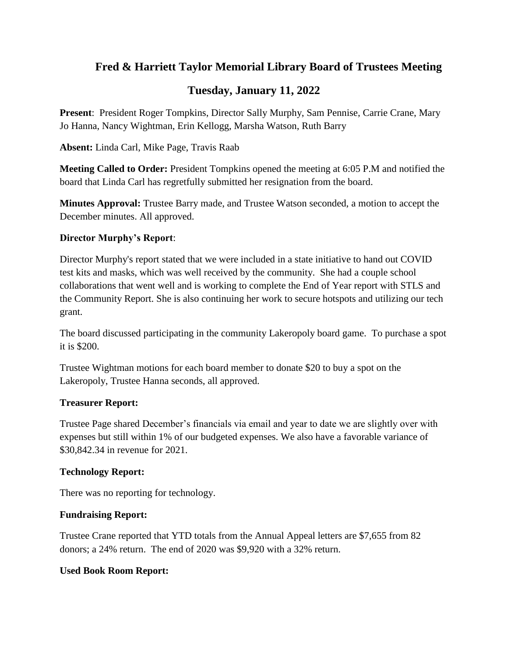# **Fred & Harriett Taylor Memorial Library Board of Trustees Meeting**

# **Tuesday, January 11, 2022**

**Present**: President Roger Tompkins, Director Sally Murphy, Sam Pennise, Carrie Crane, Mary Jo Hanna, Nancy Wightman, Erin Kellogg, Marsha Watson, Ruth Barry

**Absent:** Linda Carl, Mike Page, Travis Raab

**Meeting Called to Order:** President Tompkins opened the meeting at 6:05 P.M and notified the board that Linda Carl has regretfully submitted her resignation from the board.

**Minutes Approval:** Trustee Barry made, and Trustee Watson seconded, a motion to accept the December minutes. All approved.

## **Director Murphy's Report**:

Director Murphy's report stated that we were included in a state initiative to hand out COVID test kits and masks, which was well received by the community. She had a couple school collaborations that went well and is working to complete the End of Year report with STLS and the Community Report. She is also continuing her work to secure hotspots and utilizing our tech grant.

The board discussed participating in the community Lakeropoly board game. To purchase a spot it is \$200.

Trustee Wightman motions for each board member to donate \$20 to buy a spot on the Lakeropoly, Trustee Hanna seconds, all approved.

## **Treasurer Report:**

Trustee Page shared December's financials via email and year to date we are slightly over with expenses but still within 1% of our budgeted expenses. We also have a favorable variance of \$30,842.34 in revenue for 2021.

## **Technology Report:**

There was no reporting for technology.

## **Fundraising Report:**

Trustee Crane reported that YTD totals from the Annual Appeal letters are \$7,655 from 82 donors; a 24% return. The end of 2020 was \$9,920 with a 32% return.

## **Used Book Room Report:**